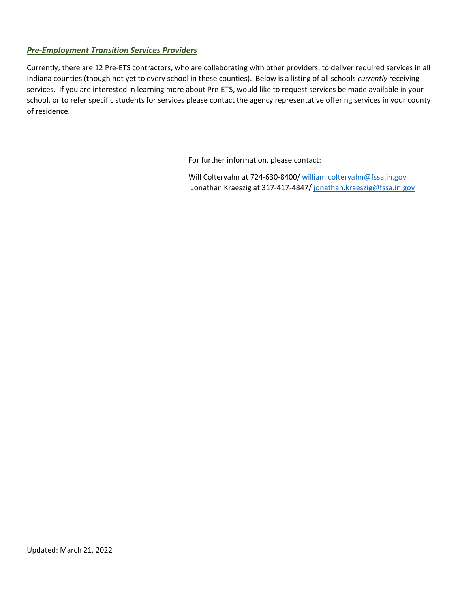## *Pre-Employment Transition Services Providers*

Currently, there are 12 Pre-ETS contractors, who are collaborating with other providers, to deliver required services in all Indiana counties (though not yet to every school in these counties). Below is a listing of all schools *currently* receiving services. If you are interested in learning more about Pre-ETS, would like to request services be made available in your school, or to refer specific students for services please contact the agency representative offering services in your county of residence.

For further information, please contact:

Will Colteryahn at 724-630-8400/ [william.colteryahn@fssa.in.gov](mailto:william.colteryahn@fssa.in.gov) Jonathan Kraeszig at 317-417-4847/ [jonathan.kraeszig@fssa.in.gov](mailto:jonathan.kraeszig@fssa.in.gov)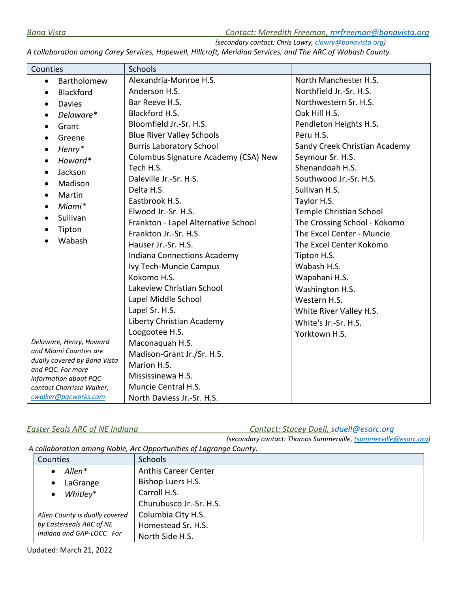*Bona Vista Contact: Meredith Freeman, [mrfreeman@bonavista.org](mailto:mrfreeman@bonavista.org)*

*(secondary contact: Chris Lowry[, clowry@bonavista.org\)](mailto:clowry@bonavista.org)* 

*A collaboration among Carey Services, Hopewell, Hillcroft, Meridian Services, and The ARC of Wabash County.* 

| Counties                                               | <b>Schools</b>                       |                               |
|--------------------------------------------------------|--------------------------------------|-------------------------------|
| Bartholomew<br>$\bullet$                               | Alexandria-Monroe H.S.               | North Manchester H.S.         |
| <b>Blackford</b><br>$\bullet$                          | Anderson H.S.                        | Northfield Jr.-Sr. H.S.       |
| <b>Davies</b><br>$\bullet$                             | Bar Reeve H.S.                       | Northwestern Sr. H.S.         |
| Delaware*                                              | Blackford H.S.                       | Oak Hill H.S.                 |
| Grant                                                  | Bloomfield Jr.-Sr. H.S.              | Pendleton Heights H.S.        |
| Greene                                                 | <b>Blue River Valley Schools</b>     | Peru H.S.                     |
| Henry*<br>$\bullet$                                    | <b>Burris Laboratory School</b>      | Sandy Creek Christian Academy |
| Howard*                                                | Columbus Signature Academy (CSA) New | Seymour Sr. H.S.              |
| Jackson<br>$\bullet$                                   | Tech H.S.                            | Shenandoah H.S.               |
| Madison                                                | Daleville Jr.-Sr. H.S.               | Southwood Jr.-Sr. H.S.        |
| Martin<br>$\bullet$                                    | Delta H.S.                           | Sullivan H.S.                 |
| Miami*<br>$\bullet$                                    | Eastbrook H.S.                       | Taylor H.S.                   |
| Sullivan<br>$\bullet$                                  | Elwood Jr.-Sr. H.S.                  | Temple Christian School       |
|                                                        | Frankton - Lapel Alternative School  | The Crossing School - Kokomo  |
| Tipton<br>Wabash                                       | Frankton Jr.-Sr. H.S.                | The Excel Center - Muncie     |
|                                                        | Hauser Jr.-Sr. H.S.                  | The Excel Center Kokomo       |
|                                                        | Indiana Connections Academy          | Tipton H.S.                   |
|                                                        | Ivy Tech-Muncie Campus               | Wabash H.S.                   |
|                                                        | Kokomo H.S.                          | Wapahani H.S.                 |
|                                                        | Lakeview Christian School            | Washington H.S.               |
|                                                        | Lapel Middle School                  | Western H.S.                  |
|                                                        | Lapel Sr. H.S.                       | White River Valley H.S.       |
|                                                        | Liberty Christian Academy            | White's Jr.-Sr. H.S.          |
|                                                        | Loogootee H.S.                       | Yorktown H.S.                 |
| Delaware, Henry, Howard                                | Maconaquah H.S.                      |                               |
| and Miami Counties are<br>dually covered by Bona Vista | Madison-Grant Jr./Sr. H.S.           |                               |
| and PQC. For more                                      | Marion H.S.                          |                               |
| information about PQC                                  | Mississinewa H.S.                    |                               |
| contact Charrisse Walker,                              | Muncie Central H.S.                  |                               |
| cwalker@pqcworks.com                                   | North Daviess Jr.-Sr. H.S.           |                               |

*Easter Seals ARC of NE Indiana Contact: Stacey Duell, [sduell@esarc.org](mailto:sduell@esarc.org)*

*(secondary contact: Thomas Summerville[, tsummerville@esarc.org\)](mailto:tsummerville@esarc.org)*

*A collaboration among Noble, Arc Opportunities of Lagrange County.*

| Counties                       | <b>Schools</b>              |
|--------------------------------|-----------------------------|
| Allen*                         | <b>Anthis Career Center</b> |
| LaGrange<br>$\bullet$          | Bishop Luers H.S.           |
| Whitley*                       | Carroll H.S.                |
|                                | Churubusco Jr.-Sr. H.S.     |
| Allen County is dually covered | Columbia City H.S.          |
| by Easterseals ARC of NE       | Homestead Sr. H.S.          |
| Indiana and GAP-LOCC. For      | North Side H.S.             |

Updated: March 21, 2022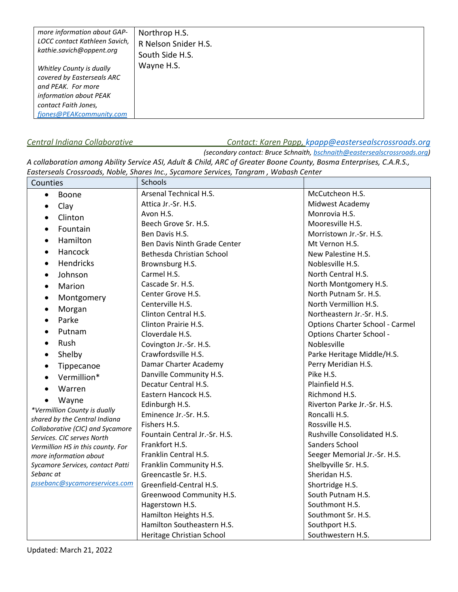| more information about GAP-                                                                                                                                | Northrop H.S.        |
|------------------------------------------------------------------------------------------------------------------------------------------------------------|----------------------|
| LOCC contact Kathleen Savich,                                                                                                                              | R Nelson Snider H.S. |
| kathie.savich@oppent.org                                                                                                                                   | South Side H.S.      |
| Whitley County is dually<br>covered by Easterseals ARC<br>and PEAK. For more<br>information about PEAK<br>contact Faith Jones,<br>fiones@PEAKcommunity.com | Wayne H.S.           |

# *Central Indiana Collaborative Contact: Karen Papp, [kpapp@eastersealscrossroads.org](mailto:kpapp@eastersealscrossroads.org)*

*(secondary contact: Bruce Schnaith, [bschnaith@eastersealscrossroads.org\)](mailto:bschnaith@eastersealscrossroads.org)* 

*A collaboration among Ability Service ASI, Adult & Child, ARC of Greater Boone County, Bosma Enterprises, C.A.R.S., Easterseals Crossroads, Noble, Shares Inc., Sycamore Services, Tangram , Wabash Center*

| Counties                          | Schools                       |                                 |
|-----------------------------------|-------------------------------|---------------------------------|
| Boone                             | Arsenal Technical H.S.        | McCutcheon H.S.                 |
| Clay                              | Attica Jr.-Sr. H.S.           | Midwest Academy                 |
| Clinton<br>$\bullet$              | Avon H.S.                     | Monrovia H.S.                   |
| Fountain<br>$\bullet$             | Beech Grove Sr. H.S.          | Mooresville H.S.                |
|                                   | Ben Davis H.S.                | Morristown Jr.-Sr. H.S.         |
| Hamilton<br>$\bullet$             | Ben Davis Ninth Grade Center  | Mt Vernon H.S.                  |
| Hancock                           | Bethesda Christian School     | New Palestine H.S.              |
| <b>Hendricks</b>                  | Brownsburg H.S.               | Noblesville H.S.                |
| Johnson<br>$\bullet$              | Carmel H.S.                   | North Central H.S.              |
| Marion<br>$\bullet$               | Cascade Sr. H.S.              | North Montgomery H.S.           |
| Montgomery                        | Center Grove H.S.             | North Putnam Sr. H.S.           |
| Morgan                            | Centerville H.S.              | North Vermillion H.S.           |
| Parke                             | Clinton Central H.S.          | Northeastern Jr.-Sr. H.S.       |
|                                   | Clinton Prairie H.S.          | Options Charter School - Carmel |
| Putnam<br>$\bullet$               | Cloverdale H.S.               | Options Charter School -        |
| Rush<br>$\bullet$                 | Covington Jr.-Sr. H.S.        | Noblesville                     |
| Shelby<br>$\bullet$               | Crawfordsville H.S.           | Parke Heritage Middle/H.S.      |
| Tippecanoe<br>$\bullet$           | Damar Charter Academy         | Perry Meridian H.S.             |
| Vermillion*                       | Danville Community H.S.       | Pike H.S.                       |
| Warren                            | Decatur Central H.S.          | Plainfield H.S.                 |
| Wayne                             | Eastern Hancock H.S.          | Richmond H.S.                   |
| *Vermillion County is dually      | Edinburgh H.S.                | Riverton Parke Jr.-Sr. H.S.     |
| shared by the Central Indiana     | Eminence Jr.-Sr. H.S.         | Roncalli H.S.                   |
| Collaborative (CIC) and Sycamore  | Fishers H.S.                  | Rossville H.S.                  |
| Services. CIC serves North        | Fountain Central Jr.-Sr. H.S. | Rushville Consolidated H.S.     |
| Vermillion HS in this county. For | Frankfort H.S.                | Sanders School                  |
| more information about            | Franklin Central H.S.         | Seeger Memorial Jr.-Sr. H.S.    |
| Sycamore Services, contact Patti  | Franklin Community H.S.       | Shelbyville Sr. H.S.            |
| Sebanc at                         | Greencastle Sr. H.S.          | Sheridan H.S.                   |
| pssebanc@sycamoreservices.com     | Greenfield-Central H.S.       | Shortridge H.S.                 |
|                                   | Greenwood Community H.S.      | South Putnam H.S.               |
|                                   | Hagerstown H.S.               | Southmont H.S.                  |
|                                   | Hamilton Heights H.S.         | Southmont Sr. H.S.              |
|                                   | Hamilton Southeastern H.S.    | Southport H.S.                  |
|                                   | Heritage Christian School     | Southwestern H.S.               |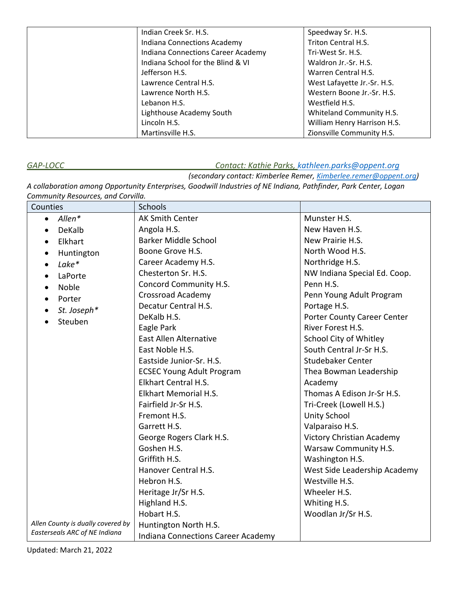| Indian Creek Sr. H.S.              | Speedway Sr. H.S.           |
|------------------------------------|-----------------------------|
| <b>Indiana Connections Academy</b> | Triton Central H.S.         |
| Indiana Connections Career Academy | Tri-West Sr. H.S.           |
| Indiana School for the Blind & VI  | Waldron Jr.-Sr. H.S.        |
| Jefferson H.S.                     | Warren Central H.S.         |
| Lawrence Central H.S.              | West Lafayette Jr.-Sr. H.S. |
| Lawrence North H.S.                | Western Boone Jr.-Sr. H.S.  |
| Lebanon H.S.                       | Westfield H.S.              |
| Lighthouse Academy South           | Whiteland Community H.S.    |
| Lincoln H.S.                       | William Henry Harrison H.S. |
| Martinsville H.S.                  | Zionsville Community H.S.   |

## *GAP-LOCC Contact: Kathie Parks, [kathleen.parks@oppent.org](mailto:kathleen.parks@oppent.org)*

*(secondary contact: Kimberlee Remer, [Kimberlee.remer@oppent.org\)](mailto:Kimberlee.remer@oppent.org)* 

*A collaboration among Opportunity Enterprises, Goodwill Industries of NE Indiana, Pathfinder, Park Center, Logan Community Resources, and Corvilla.*

| Counties                          | <b>Schools</b>                            |                              |
|-----------------------------------|-------------------------------------------|------------------------------|
| Allen*<br>$\bullet$               | <b>AK Smith Center</b>                    | Munster H.S.                 |
| DeKalb<br>$\bullet$               | Angola H.S.                               | New Haven H.S.               |
| Elkhart<br>$\bullet$              | <b>Barker Middle School</b>               | New Prairie H.S.             |
| Huntington<br>$\bullet$           | Boone Grove H.S.                          | North Wood H.S.              |
| Lake*<br>$\bullet$                | Career Academy H.S.                       | Northridge H.S.              |
| LaPorte<br>$\bullet$              | Chesterton Sr. H.S.                       | NW Indiana Special Ed. Coop. |
| Noble<br>$\bullet$                | Concord Community H.S.                    | Penn H.S.                    |
| Porter<br>$\bullet$               | <b>Crossroad Academy</b>                  | Penn Young Adult Program     |
| St. Joseph*<br>$\bullet$          | Decatur Central H.S.                      | Portage H.S.                 |
| Steuben                           | DeKalb H.S.                               | Porter County Career Center  |
|                                   | Eagle Park                                | River Forest H.S.            |
|                                   | <b>East Allen Alternative</b>             | School City of Whitley       |
|                                   | East Noble H.S.                           | South Central Jr-Sr H.S.     |
|                                   | Eastside Junior-Sr. H.S.                  | Studebaker Center            |
|                                   | <b>ECSEC Young Adult Program</b>          | Thea Bowman Leadership       |
|                                   | Elkhart Central H.S.                      | Academy                      |
|                                   | Elkhart Memorial H.S.                     | Thomas A Edison Jr-Sr H.S.   |
|                                   | Fairfield Jr-Sr H.S.                      | Tri-Creek (Lowell H.S.)      |
|                                   | Fremont H.S.                              | <b>Unity School</b>          |
|                                   | Garrett H.S.                              | Valparaiso H.S.              |
|                                   | George Rogers Clark H.S.                  | Victory Christian Academy    |
|                                   | Goshen H.S.                               | Warsaw Community H.S.        |
|                                   | Griffith H.S.                             | Washington H.S.              |
|                                   | Hanover Central H.S.                      | West Side Leadership Academy |
|                                   | Hebron H.S.                               | Westville H.S.               |
|                                   | Heritage Jr/Sr H.S.                       | Wheeler H.S.                 |
|                                   | Highland H.S.                             | Whiting H.S.                 |
|                                   | Hobart H.S.                               | Woodlan Jr/Sr H.S.           |
| Allen County is dually covered by | Huntington North H.S.                     |                              |
| Easterseals ARC of NE Indiana     | <b>Indiana Connections Career Academy</b> |                              |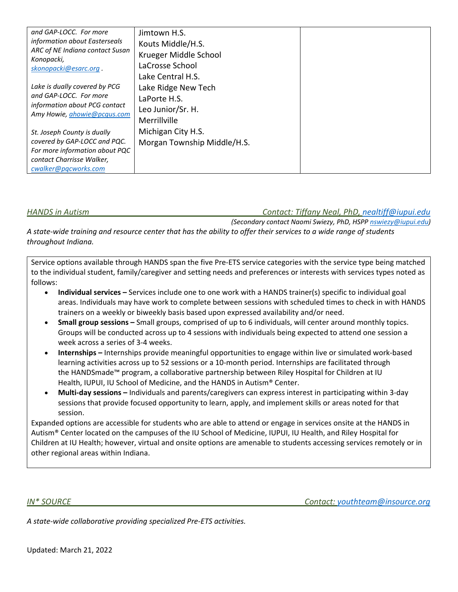| and GAP-LOCC. For more<br>information about Easterseals<br>ARC of NE Indiana contact Susan<br>Konopacki,<br>skonopacki@esarc.org.                  | Jimtown H.S.<br>Kouts Middle/H.S.<br>Krueger Middle School<br>LaCrosse School<br>Lake Central H.S. |  |
|----------------------------------------------------------------------------------------------------------------------------------------------------|----------------------------------------------------------------------------------------------------|--|
| Lake is dually covered by PCG<br>and GAP-LOCC. For more<br>information about PCG contact<br>Amy Howie, <i>ahowie@pcqus.com</i>                     | Lake Ridge New Tech<br>LaPorte H.S.<br>Leo Junior/Sr. H.<br>Merrillville                           |  |
| St. Joseph County is dually<br>covered by GAP-LOCC and PQC.<br>For more information about PQC<br>contact Charrisse Walker,<br>cwalker@pqcworks.com | Michigan City H.S.<br>Morgan Township Middle/H.S.                                                  |  |

*HANDS in Autism Contact: Tiffany Neal, PhD, [nealtiff@iupui.edu](mailto:nealtiff@iupui.edu)* 

*(Secondary contact Naomi Swiezy, PhD, HSPP [nswiezy@iupui.edu\)](mailto:nswiezy@iupui.edu) A state-wide training and resource center that has the ability to offer their services to a wide range of students throughout Indiana.* 

Service options available through HANDS span the five Pre-ETS service categories with the service type being matched to the individual student, family/caregiver and setting needs and preferences or interests with services types noted as follows:

- **Individual services** Services include one to one work with a HANDS trainer(s) specific to individual goal areas. Individuals may have work to complete between sessions with scheduled times to check in with HANDS trainers on a weekly or biweekly basis based upon expressed availability and/or need.
- **Small group sessions** Small groups, comprised of up to 6 individuals, will center around monthly topics. Groups will be conducted across up to 4 sessions with individuals being expected to attend one session a week across a series of 3-4 weeks.
- **Internships** Internships provide meaningful opportunities to engage within live or simulated work-based learning activities across up to 52 sessions or a 10-month period. Internships are facilitated through the HANDSmade™ program, a collaborative partnership between Riley Hospital for Children at IU Health, IUPUI, IU School of Medicine, and the HANDS in Autism® Center.
- **Multi-day sessions** Individuals and parents/caregivers can express interest in participating within 3-day sessions that provide focused opportunity to learn, apply, and implement skills or areas noted for that session.

Expanded options are accessible for students who are able to attend or engage in services onsite at the HANDS in Autism® Center located on the campuses of the IU School of Medicine, IUPUI, IU Health, and Riley Hospital for Children at IU Health; however, virtual and onsite options are amenable to students accessing services remotely or in other regional areas within Indiana.

*IN\* SOURCE Contact: [youthteam@insource.org](mailto:youthteam@insource.org)* 

*A state-wide collaborative providing specialized Pre-ETS activities.*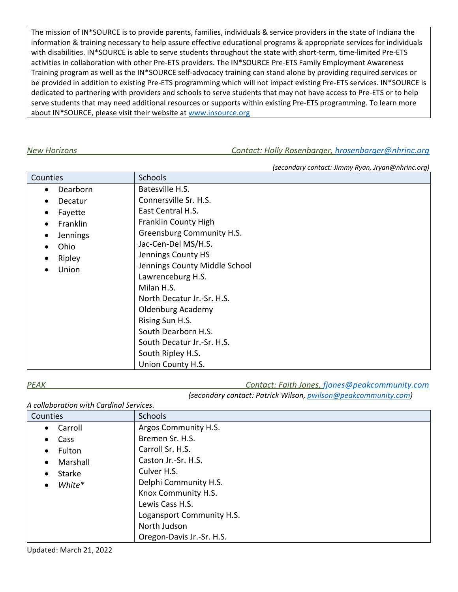The mission of IN\*SOURCE is to provide parents, families, individuals & service providers in the state of Indiana the information & training necessary to help assure effective educational programs & appropriate services for individuals with disabilities. IN\*SOURCE is able to serve students throughout the state with short-term, time-limited Pre-ETS activities in collaboration with other Pre-ETS providers. The IN\*SOURCE Pre-ETS Family Employment Awareness Training program as well as the IN\*SOURCE self-advocacy training can stand alone by providing required services or be provided in addition to existing Pre-ETS programming which will not impact existing Pre-ETS services. IN\*SOURCE is dedicated to partnering with providers and schools to serve students that may not have access to Pre-ETS or to help serve students that may need additional resources or supports within existing Pre-ETS programming. To learn more about IN\*SOURCE, please visit their website at www.insource.org

### *New Horizons Contact: Holly Rosenbarger, [hrosenbarger@nhrinc.org](mailto:hrosenbarger@nhrinc.org)*

|                                                                                                                         |                                                                                                                                                                                                                                                                                                      | (secondary contact: Jimmy Ryan, Jryan@nhrinc.org) |
|-------------------------------------------------------------------------------------------------------------------------|------------------------------------------------------------------------------------------------------------------------------------------------------------------------------------------------------------------------------------------------------------------------------------------------------|---------------------------------------------------|
| Counties                                                                                                                | <b>Schools</b>                                                                                                                                                                                                                                                                                       |                                                   |
| Dearborn<br>$\bullet$<br>Decatur<br>Fayette<br>٠<br>Franklin<br>$\bullet$<br><b>Jennings</b><br>Ohio<br>Ripley<br>Union | Batesville H.S.<br>Connersville Sr. H.S.<br>East Central H.S.<br><b>Franklin County High</b><br>Greensburg Community H.S.<br>Jac-Cen-Del MS/H.S.<br>Jennings County HS<br>Jennings County Middle School<br>Lawrenceburg H.S.<br>Milan H.S.<br>North Decatur Jr.-Sr. H.S.<br><b>Oldenburg Academy</b> |                                                   |
|                                                                                                                         | Rising Sun H.S.<br>South Dearborn H.S.<br>South Decatur Jr.-Sr. H.S.<br>South Ripley H.S.<br>Union County H.S.                                                                                                                                                                                       |                                                   |

*PEAK Contact: Faith Jones, [fjones@peakcommunity.com](mailto:fjones@peakcommunity.com)* 

*(secondary contact: Patrick Wilson, [pwilson@peakcommunity.com\)](mailto:pwilson@peakcommunity.com)* 

*A collaboration with Cardinal Services.*

| <b>Counties</b>       | <b>Schools</b>            |
|-----------------------|---------------------------|
| Carroll<br>$\bullet$  | Argos Community H.S.      |
| Cass<br>$\bullet$     | Bremen Sr. H.S.           |
| Fulton<br>$\bullet$   | Carroll Sr. H.S.          |
| Marshall<br>$\bullet$ | Caston Jr.-Sr. H.S.       |
| Starke<br>$\bullet$   | Culver H.S.               |
| White*<br>$\bullet$   | Delphi Community H.S.     |
|                       | Knox Community H.S.       |
|                       | Lewis Cass H.S.           |
|                       | Logansport Community H.S. |
|                       | North Judson              |
|                       | Oregon-Davis Jr.-Sr. H.S. |

Updated: March 21, 2022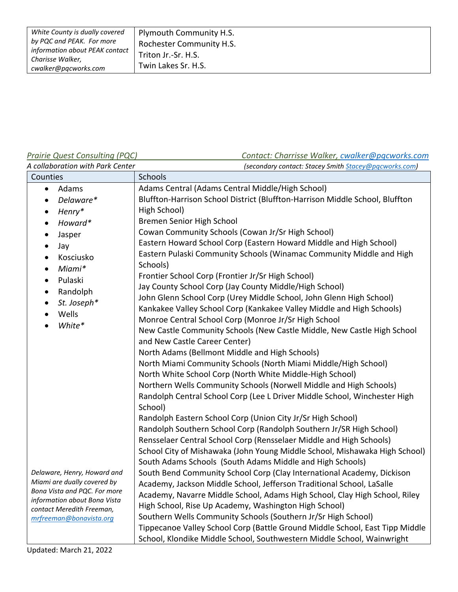| White County is dually covered                     | Plymouth Community H.S.  |
|----------------------------------------------------|--------------------------|
| by PQC and PEAK. For more                          | Rochester Community H.S. |
| information about PEAK contact<br>Charisse Walker, | Triton Jr.-Sr. H.S.      |
| cwalker@pqcworks.com                               | Twin Lakes Sr. H.S.      |

# *Prairie Quest Consulting (PQC)*

# *Contact: Charrisse Walker, [cwalker@pqcworks.com](mailto:cwalker@pqcworks.com)*

| A collaboration with Park Center                                                                                                                                                                                                                                                        | (secondary contact: Stacey Smith Stacey@pgcworks.com)                                                                                                                                                                                                                                                                                                                                                                                                                                                                                                                                                                                                                                                                                                                                                                                                                                                                                                                                                                                                                                 |
|-----------------------------------------------------------------------------------------------------------------------------------------------------------------------------------------------------------------------------------------------------------------------------------------|---------------------------------------------------------------------------------------------------------------------------------------------------------------------------------------------------------------------------------------------------------------------------------------------------------------------------------------------------------------------------------------------------------------------------------------------------------------------------------------------------------------------------------------------------------------------------------------------------------------------------------------------------------------------------------------------------------------------------------------------------------------------------------------------------------------------------------------------------------------------------------------------------------------------------------------------------------------------------------------------------------------------------------------------------------------------------------------|
| Counties                                                                                                                                                                                                                                                                                | Schools                                                                                                                                                                                                                                                                                                                                                                                                                                                                                                                                                                                                                                                                                                                                                                                                                                                                                                                                                                                                                                                                               |
| Adams<br>$\bullet$<br>Delaware*<br>$\bullet$<br>Henry*<br>$\bullet$<br>Howard*<br>$\bullet$<br>Jasper<br>$\bullet$<br>Jay<br>$\bullet$<br>Kosciusko<br>$\bullet$<br>Miami*<br>$\bullet$<br>Pulaski<br>$\bullet$<br>Randolph<br>$\bullet$<br>St. Joseph*<br>$\bullet$<br>Wells<br>White* | Adams Central (Adams Central Middle/High School)<br>Bluffton-Harrison School District (Bluffton-Harrison Middle School, Bluffton<br>High School)<br>Bremen Senior High School<br>Cowan Community Schools (Cowan Jr/Sr High School)<br>Eastern Howard School Corp (Eastern Howard Middle and High School)<br>Eastern Pulaski Community Schools (Winamac Community Middle and High<br>Schools)<br>Frontier School Corp (Frontier Jr/Sr High School)<br>Jay County School Corp (Jay County Middle/High School)<br>John Glenn School Corp (Urey Middle School, John Glenn High School)<br>Kankakee Valley School Corp (Kankakee Valley Middle and High Schools)<br>Monroe Central School Corp (Monroe Jr/Sr High School<br>New Castle Community Schools (New Castle Middle, New Castle High School<br>and New Castle Career Center)<br>North Adams (Bellmont Middle and High Schools)<br>North Miami Community Schools (North Miami Middle/High School)<br>North White School Corp (North White Middle-High School)<br>Northern Wells Community Schools (Norwell Middle and High Schools) |
| Delaware, Henry, Howard and<br>Miami are dually covered by<br>Bona Vista and PQC. For more<br>information about Bona Vista<br>contact Meredith Freeman,<br>mrfreeman@bonavista.org                                                                                                      | Randolph Central School Corp (Lee L Driver Middle School, Winchester High<br>School)<br>Randolph Eastern School Corp (Union City Jr/Sr High School)<br>Randolph Southern School Corp (Randolph Southern Jr/SR High School)<br>Rensselaer Central School Corp (Rensselaer Middle and High Schools)<br>School City of Mishawaka (John Young Middle School, Mishawaka High School)<br>South Adams Schools (South Adams Middle and High Schools)<br>South Bend Community School Corp (Clay International Academy, Dickison<br>Academy, Jackson Middle School, Jefferson Traditional School, LaSalle<br>Academy, Navarre Middle School, Adams High School, Clay High School, Riley<br>High School, Rise Up Academy, Washington High School)<br>Southern Wells Community Schools (Southern Jr/Sr High School)<br>Tippecanoe Valley School Corp (Battle Ground Middle School, East Tipp Middle<br>School, Klondike Middle School, Southwestern Middle School, Wainwright                                                                                                                     |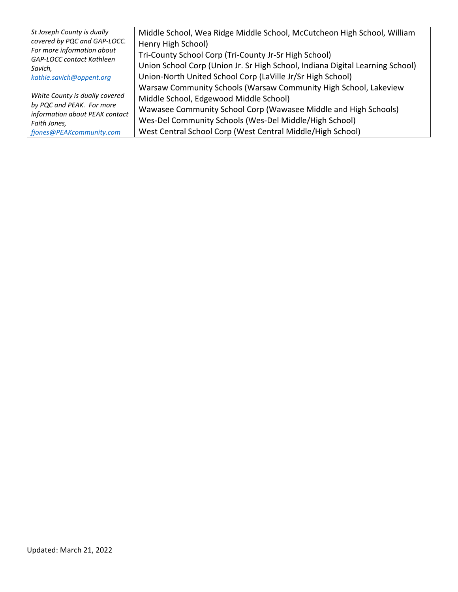| St Joseph County is dually                                     | Middle School, Wea Ridge Middle School, McCutcheon High School, William       |
|----------------------------------------------------------------|-------------------------------------------------------------------------------|
| covered by PQC and GAP-LOCC.                                   | Henry High School)                                                            |
| For more information about<br><b>GAP-LOCC contact Kathleen</b> | Tri-County School Corp (Tri-County Jr-Sr High School)                         |
| Savich,                                                        | Union School Corp (Union Jr. Sr High School, Indiana Digital Learning School) |
| kathie.savich@oppent.org                                       | Union-North United School Corp (LaVille Jr/Sr High School)                    |
|                                                                | Warsaw Community Schools (Warsaw Community High School, Lakeview              |
| White County is dually covered                                 | Middle School, Edgewood Middle School)                                        |
| by PQC and PEAK. For more<br>information about PEAK contact    | Wawasee Community School Corp (Wawasee Middle and High Schools)               |
| Faith Jones,                                                   | Wes-Del Community Schools (Wes-Del Middle/High School)                        |
| fjones@PEAKcommunity.com                                       | West Central School Corp (West Central Middle/High School)                    |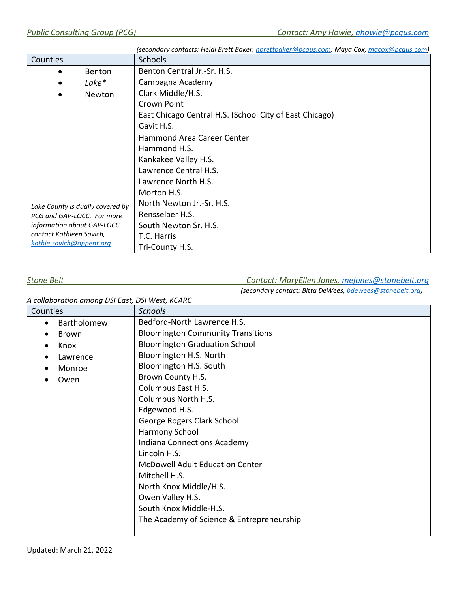|                                  |        | (secondary contacts: Heidi Brett Baker, hbrettbaker@pcqus.com; Maya Cox, macox@pcqus.com) |
|----------------------------------|--------|-------------------------------------------------------------------------------------------|
| Counties                         |        | <b>Schools</b>                                                                            |
|                                  | Benton | Benton Central Jr.-Sr. H.S.                                                               |
|                                  | Lake*  | Campagna Academy                                                                          |
|                                  | Newton | Clark Middle/H.S.                                                                         |
|                                  |        | Crown Point                                                                               |
|                                  |        | East Chicago Central H.S. (School City of East Chicago)                                   |
|                                  |        | Gavit H.S.                                                                                |
|                                  |        | <b>Hammond Area Career Center</b>                                                         |
|                                  |        | Hammond H.S.                                                                              |
|                                  |        | Kankakee Valley H.S.                                                                      |
|                                  |        | Lawrence Central H.S.                                                                     |
|                                  |        | Lawrence North H.S.                                                                       |
|                                  |        | Morton H.S.                                                                               |
| Lake County is dually covered by |        | North Newton Jr.-Sr. H.S.                                                                 |
| PCG and GAP-LOCC. For more       |        | Rensselaer H.S.                                                                           |
| information about GAP-LOCC       |        | South Newton Sr. H.S.                                                                     |
| contact Kathleen Savich,         |        | T.C. Harris                                                                               |
| kathie.savich@oppent.org         |        | Tri-County H.S.                                                                           |

### *Stone Belt Contact: MaryEllen Jones, [mejones@stonebelt.org](mailto:mejones@stonebelt.org)*

*(secondary contact: Bitta DeWees[, bdewees@stonebelt.org\)](mailto:bdewees@stonebelt.org)*

| A collaboration among DSI East, DSI West, KCARC |                                           |
|-------------------------------------------------|-------------------------------------------|
| Counties                                        | <b>Schools</b>                            |
| Bartholomew                                     | Bedford-North Lawrence H.S.               |
| <b>Brown</b>                                    | <b>Bloomington Community Transitions</b>  |
| Knox                                            | <b>Bloomington Graduation School</b>      |
| Lawrence                                        | Bloomington H.S. North                    |
| Monroe                                          | Bloomington H.S. South                    |
| Owen                                            | Brown County H.S.                         |
|                                                 | Columbus East H.S.                        |
|                                                 | Columbus North H.S.                       |
|                                                 | Edgewood H.S.                             |
|                                                 | George Rogers Clark School                |
|                                                 | Harmony School                            |
|                                                 | Indiana Connections Academy               |
|                                                 | Lincoln H.S.                              |
|                                                 | <b>McDowell Adult Education Center</b>    |
|                                                 | Mitchell H.S.                             |
|                                                 | North Knox Middle/H.S.                    |
|                                                 | Owen Valley H.S.                          |
|                                                 | South Knox Middle-H.S.                    |
|                                                 | The Academy of Science & Entrepreneurship |
|                                                 |                                           |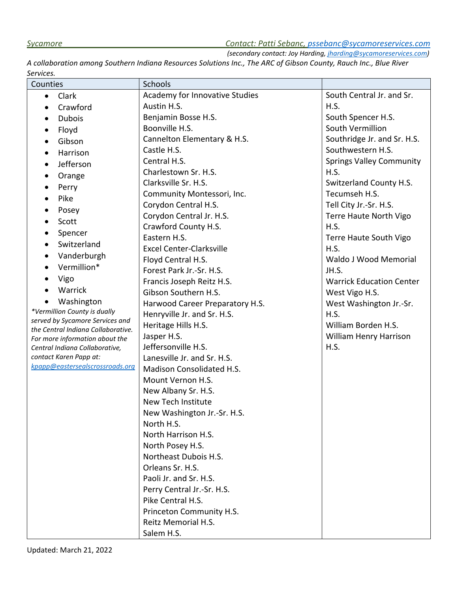# *Sycamore Contact: Patti Sebanc, [pssebanc@sycamoreservices.com](mailto:pssebanc@sycamoreservices.com)*

*(secondary contact: Joy Harding, [jharding@sycamoreservices.com\)](mailto:jharding@sycamoreservices.com)*

*A collaboration among Southern Indiana Resources Solutions Inc., The ARC of Gibson County, Rauch Inc., Blue River Services.* 

| Counties                                                              | Schools                          |                                 |
|-----------------------------------------------------------------------|----------------------------------|---------------------------------|
| Clark<br>$\bullet$                                                    | Academy for Innovative Studies   | South Central Jr. and Sr.       |
| Crawford<br>$\bullet$                                                 | Austin H.S.                      | H.S.                            |
| <b>Dubois</b><br>$\bullet$                                            | Benjamin Bosse H.S.              | South Spencer H.S.              |
| Floyd<br>$\bullet$                                                    | Boonville H.S.                   | South Vermillion                |
| Gibson<br>$\bullet$                                                   | Cannelton Elementary & H.S.      | Southridge Jr. and Sr. H.S.     |
| Harrison<br>$\bullet$                                                 | Castle H.S.                      | Southwestern H.S.               |
| Jefferson<br>$\bullet$                                                | Central H.S.                     | <b>Springs Valley Community</b> |
| Orange                                                                | Charlestown Sr. H.S.             | H.S.                            |
| Perry<br>$\bullet$                                                    | Clarksville Sr. H.S.             | Switzerland County H.S.         |
| Pike<br>$\bullet$                                                     | Community Montessori, Inc.       | Tecumseh H.S.                   |
|                                                                       | Corydon Central H.S.             | Tell City Jr.-Sr. H.S.          |
| Posey<br>$\bullet$                                                    | Corydon Central Jr. H.S.         | Terre Haute North Vigo          |
| Scott<br>$\bullet$                                                    | Crawford County H.S.             | H.S.                            |
| Spencer<br>$\bullet$                                                  | Eastern H.S.                     | Terre Haute South Vigo          |
| Switzerland<br>$\bullet$                                              | <b>Excel Center-Clarksville</b>  | H.S.                            |
| Vanderburgh<br>$\bullet$                                              | Floyd Central H.S.               | Waldo J Wood Memorial           |
| Vermillion*<br>$\bullet$                                              | Forest Park Jr.-Sr. H.S.         | JH.S.                           |
| Vigo                                                                  | Francis Joseph Reitz H.S.        | <b>Warrick Education Center</b> |
| Warrick                                                               | Gibson Southern H.S.             | West Vigo H.S.                  |
| Washington                                                            | Harwood Career Preparatory H.S.  | West Washington Jr.-Sr.         |
| *Vermillion County is dually                                          | Henryville Jr. and Sr. H.S.      | H.S.                            |
| served by Sycamore Services and<br>the Central Indiana Collaborative. | Heritage Hills H.S.              | William Borden H.S.             |
| For more information about the                                        | Jasper H.S.                      | William Henry Harrison          |
| Central Indiana Collaborative,                                        | Jeffersonville H.S.              | H.S.                            |
| contact Karen Papp at:                                                | Lanesville Jr. and Sr. H.S.      |                                 |
| kpapp@eastersealscrossroads.org                                       | <b>Madison Consolidated H.S.</b> |                                 |
|                                                                       | Mount Vernon H.S.                |                                 |
|                                                                       | New Albany Sr. H.S.              |                                 |
|                                                                       | New Tech Institute               |                                 |
|                                                                       | New Washington Jr.-Sr. H.S.      |                                 |
|                                                                       | North H.S.                       |                                 |
|                                                                       | North Harrison H.S.              |                                 |
|                                                                       | North Posey H.S.                 |                                 |
|                                                                       | Northeast Dubois H.S.            |                                 |
|                                                                       | Orleans Sr. H.S.                 |                                 |
|                                                                       | Paoli Jr. and Sr. H.S.           |                                 |
|                                                                       | Perry Central Jr.-Sr. H.S.       |                                 |
|                                                                       | Pike Central H.S.                |                                 |
|                                                                       | Princeton Community H.S.         |                                 |
|                                                                       | Reitz Memorial H.S.              |                                 |
|                                                                       | Salem H.S.                       |                                 |